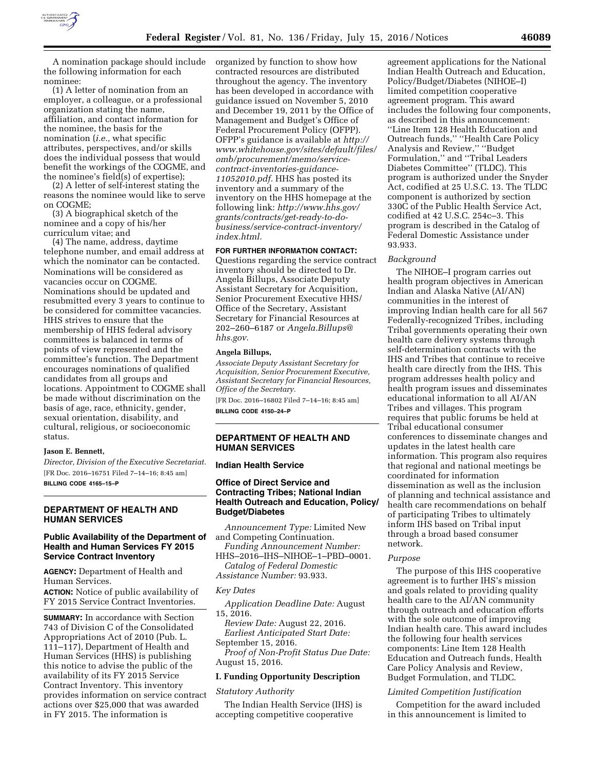

A nomination package should include the following information for each

nominee: (1) A letter of nomination from an employer, a colleague, or a professional organization stating the name, affiliation, and contact information for the nominee, the basis for the nomination (*i.e.,* what specific attributes, perspectives, and/or skills does the individual possess that would benefit the workings of the COGME, and the nominee's field(s) of expertise);

(2) A letter of self-interest stating the reasons the nominee would like to serve on COGME;

(3) A biographical sketch of the nominee and a copy of his/her curriculum vitae; and

(4) The name, address, daytime telephone number, and email address at which the nominator can be contacted. Nominations will be considered as vacancies occur on COGME. Nominations should be updated and resubmitted every 3 years to continue to be considered for committee vacancies. HHS strives to ensure that the membership of HHS federal advisory committees is balanced in terms of points of view represented and the committee's function. The Department encourages nominations of qualified candidates from all groups and locations. Appointment to COGME shall be made without discrimination on the basis of age, race, ethnicity, gender, sexual orientation, disability, and cultural, religious, or socioeconomic status.

### **Jason E. Bennett,**

*Director, Division of the Executive Secretariat.*  [FR Doc. 2016–16751 Filed 7–14–16; 8:45 am] **BILLING CODE 4165–15–P** 

## **DEPARTMENT OF HEALTH AND HUMAN SERVICES**

## **Public Availability of the Department of Health and Human Services FY 2015 Service Contract Inventory**

**AGENCY:** Department of Health and Human Services.

**ACTION:** Notice of public availability of FY 2015 Service Contract Inventories.

**SUMMARY:** In accordance with Section 743 of Division C of the Consolidated Appropriations Act of 2010 (Pub. L. 111–117), Department of Health and Human Services (HHS) is publishing this notice to advise the public of the availability of its FY 2015 Service Contract Inventory. This inventory provides information on service contract actions over \$25,000 that was awarded in FY 2015. The information is

organized by function to show how contracted resources are distributed throughout the agency. The inventory has been developed in accordance with guidance issued on November 5, 2010 and December 19, 2011 by the Office of Management and Budget's Office of Federal Procurement Policy (OFPP). OFPP's guidance is available at *[http://](http://www.whitehouse.gov/sites/default/files/omb/procurement/memo/service-contract-inventories-guidance-11052010.pdf) [www.whitehouse.gov/sites/default/files/](http://www.whitehouse.gov/sites/default/files/omb/procurement/memo/service-contract-inventories-guidance-11052010.pdf) [omb/procurement/memo/service](http://www.whitehouse.gov/sites/default/files/omb/procurement/memo/service-contract-inventories-guidance-11052010.pdf)[contract-inventories-guidance-](http://www.whitehouse.gov/sites/default/files/omb/procurement/memo/service-contract-inventories-guidance-11052010.pdf)[11052010.pdf.](http://www.whitehouse.gov/sites/default/files/omb/procurement/memo/service-contract-inventories-guidance-11052010.pdf)* HHS has posted its inventory and a summary of the inventory on the HHS homepage at the following link: *[http://www.hhs.gov/](http://www.hhs.gov/grants/contracts/get-ready-to-do-business/service-contract-inventory/index.html) [grants/contracts/get-ready-to-do](http://www.hhs.gov/grants/contracts/get-ready-to-do-business/service-contract-inventory/index.html)[business/service-contract-inventory/](http://www.hhs.gov/grants/contracts/get-ready-to-do-business/service-contract-inventory/index.html) [index.html.](http://www.hhs.gov/grants/contracts/get-ready-to-do-business/service-contract-inventory/index.html)* 

### **FOR FURTHER INFORMATION CONTACT:**

Questions regarding the service contract inventory should be directed to Dr. Angela Billups, Associate Deputy Assistant Secretary for Acquisition, Senior Procurement Executive HHS/ Office of the Secretary, Assistant Secretary for Financial Resources at 202–260–6187 or *[Angela.Billups@](mailto:Angela.Billups@hhs.gov) [hhs.gov](mailto:Angela.Billups@hhs.gov)*.

## **Angela Billups,**

*Associate Deputy Assistant Secretary for Acquisition, Senior Procurement Executive, Assistant Secretary for Financial Resources, Office of the Secretary.* 

[FR Doc. 2016–16802 Filed 7–14–16; 8:45 am]

**BILLING CODE 4150–24–P** 

# **DEPARTMENT OF HEALTH AND HUMAN SERVICES**

#### **Indian Health Service**

# **Office of Direct Service and Contracting Tribes; National Indian Health Outreach and Education, Policy/ Budget/Diabetes**

*Announcement Type:* Limited New and Competing Continuation.

*Funding Announcement Number:*  HHS–2016–IHS–NIHOE–1–PBD–0001.

*Catalog of Federal Domestic Assistance Number:* 93.933.

#### *Key Dates*

*Application Deadline Date:* August 15, 2016.

*Review Date:* August 22, 2016. *Earliest Anticipated Start Date:* 

September 15, 2016. *Proof of Non-Profit Status Due Date:*  August 15, 2016.

### **I. Funding Opportunity Description**

#### *Statutory Authority*

The Indian Health Service (IHS) is accepting competitive cooperative

agreement applications for the National Indian Health Outreach and Education, Policy/Budget/Diabetes (NIHOE–I) limited competition cooperative agreement program. This award includes the following four components, as described in this announcement: ''Line Item 128 Health Education and Outreach funds,'' ''Health Care Policy Analysis and Review,'' ''Budget Formulation,'' and ''Tribal Leaders Diabetes Committee'' (TLDC). This program is authorized under the Snyder Act, codified at 25 U.S.C. 13. The TLDC component is authorized by section 330C of the Public Health Service Act, codified at 42 U.S.C. 254c–3. This program is described in the Catalog of Federal Domestic Assistance under 93.933.

### *Background*

The NIHOE–I program carries out health program objectives in American Indian and Alaska Native (AI/AN) communities in the interest of improving Indian health care for all 567 Federally-recognized Tribes, including Tribal governments operating their own health care delivery systems through self-determination contracts with the IHS and Tribes that continue to receive health care directly from the IHS. This program addresses health policy and health program issues and disseminates educational information to all AI/AN Tribes and villages. This program requires that public forums be held at Tribal educational consumer conferences to disseminate changes and updates in the latest health care information. This program also requires that regional and national meetings be coordinated for information dissemination as well as the inclusion of planning and technical assistance and health care recommendations on behalf of participating Tribes to ultimately inform IHS based on Tribal input through a broad based consumer network.

#### *Purpose*

The purpose of this IHS cooperative agreement is to further IHS's mission and goals related to providing quality health care to the AI/AN community through outreach and education efforts with the sole outcome of improving Indian health care. This award includes the following four health services components: Line Item 128 Health Education and Outreach funds, Health Care Policy Analysis and Review, Budget Formulation, and TLDC.

#### *Limited Competition Justification*

Competition for the award included in this announcement is limited to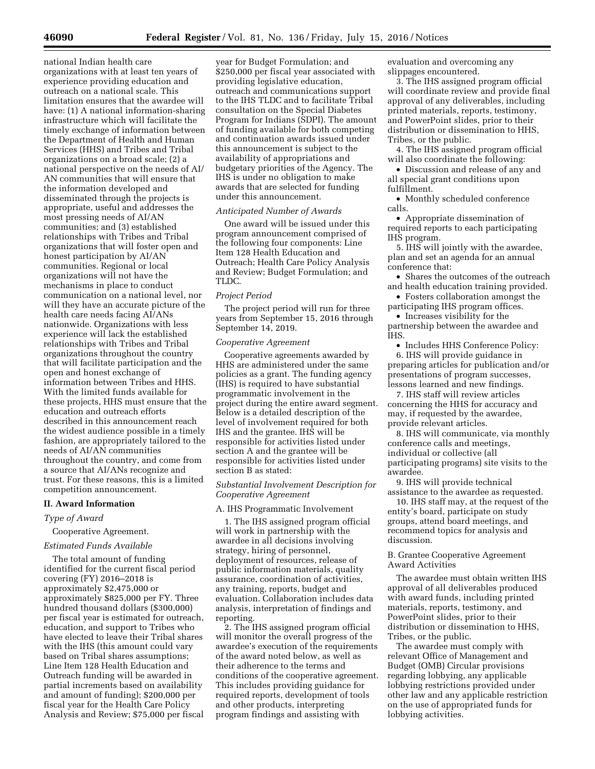national Indian health care organizations with at least ten years of experience providing education and outreach on a national scale. This limitation ensures that the awardee will have: (1) A national information-sharing infrastructure which will facilitate the timely exchange of information between the Department of Health and Human Services (HHS) and Tribes and Tribal organizations on a broad scale; (2) a national perspective on the needs of AI/ AN communities that will ensure that the information developed and disseminated through the projects is appropriate, useful and addresses the most pressing needs of AI/AN communities; and (3) established relationships with Tribes and Tribal organizations that will foster open and honest participation by AI/AN communities. Regional or local organizations will not have the mechanisms in place to conduct communication on a national level, nor will they have an accurate picture of the health care needs facing AI/ANs nationwide. Organizations with less experience will lack the established relationships with Tribes and Tribal organizations throughout the country that will facilitate participation and the open and honest exchange of information between Tribes and HHS. With the limited funds available for these projects, HHS must ensure that the education and outreach efforts described in this announcement reach the widest audience possible in a timely fashion, are appropriately tailored to the needs of AI/AN communities throughout the country, and come from a source that AI/ANs recognize and trust. For these reasons, this is a limited competition announcement.

## **II. Award Information**

## *Type of Award*

Cooperative Agreement.

### *Estimated Funds Available*

The total amount of funding identified for the current fiscal period covering (FY) 2016–2018 is approximately \$2,475,000 or approximately \$825,000 per FY. Three hundred thousand dollars (\$300,000) per fiscal year is estimated for outreach, education, and support to Tribes who have elected to leave their Tribal shares with the IHS (this amount could vary based on Tribal shares assumptions; Line Item 128 Health Education and Outreach funding will be awarded in partial increments based on availability and amount of funding); \$200,000 per fiscal year for the Health Care Policy Analysis and Review; \$75,000 per fiscal

year for Budget Formulation; and \$250,000 per fiscal year associated with providing legislative education, outreach and communications support to the IHS TLDC and to facilitate Tribal consultation on the Special Diabetes Program for Indians (SDPI). The amount of funding available for both competing and continuation awards issued under this announcement is subject to the availability of appropriations and budgetary priorities of the Agency. The IHS is under no obligation to make awards that are selected for funding under this announcement.

#### *Anticipated Number of Awards*

One award will be issued under this program announcement comprised of the following four components: Line Item 128 Health Education and Outreach; Health Care Policy Analysis and Review; Budget Formulation; and TLDC.

#### *Project Period*

The project period will run for three years from September 15, 2016 through September 14, 2019.

#### *Cooperative Agreement*

Cooperative agreements awarded by HHS are administered under the same policies as a grant. The funding agency (IHS) is required to have substantial programmatic involvement in the project during the entire award segment. Below is a detailed description of the level of involvement required for both IHS and the grantee. IHS will be responsible for activities listed under section A and the grantee will be responsible for activities listed under section B as stated:

# *Substantial Involvement Description for Cooperative Agreement*

### A. IHS Programmatic Involvement

1. The IHS assigned program official will work in partnership with the awardee in all decisions involving strategy, hiring of personnel, deployment of resources, release of public information materials, quality assurance, coordination of activities, any training, reports, budget and evaluation. Collaboration includes data analysis, interpretation of findings and reporting.

2. The IHS assigned program official will monitor the overall progress of the awardee's execution of the requirements of the award noted below, as well as their adherence to the terms and conditions of the cooperative agreement. This includes providing guidance for required reports, development of tools and other products, interpreting program findings and assisting with

evaluation and overcoming any slippages encountered.

3. The IHS assigned program official will coordinate review and provide final approval of any deliverables, including printed materials, reports, testimony, and PowerPoint slides, prior to their distribution or dissemination to HHS, Tribes, or the public.

4. The IHS assigned program official will also coordinate the following:

• Discussion and release of any and all special grant conditions upon fulfillment.

• Monthly scheduled conference calls.

• Appropriate dissemination of required reports to each participating IHS program.

5. IHS will jointly with the awardee, plan and set an agenda for an annual conference that:

• Shares the outcomes of the outreach and health education training provided.

• Fosters collaboration amongst the participating IHS program offices.

• Increases visibility for the partnership between the awardee and

IHS. • Includes HHS Conference Policy:

6. IHS will provide guidance in preparing articles for publication and/or presentations of program successes, lessons learned and new findings.

7. IHS staff will review articles concerning the HHS for accuracy and may, if requested by the awardee, provide relevant articles.

8. IHS will communicate, via monthly conference calls and meetings, individual or collective (all participating programs) site visits to the awardee.

9. IHS will provide technical assistance to the awardee as requested.

10. IHS staff may, at the request of the entity's board, participate on study groups, attend board meetings, and recommend topics for analysis and discussion.

B. Grantee Cooperative Agreement Award Activities

The awardee must obtain written IHS approval of all deliverables produced with award funds, including printed materials, reports, testimony, and PowerPoint slides, prior to their distribution or dissemination to HHS, Tribes, or the public.

The awardee must comply with relevant Office of Management and Budget (OMB) Circular provisions regarding lobbying, any applicable lobbying restrictions provided under other law and any applicable restriction on the use of appropriated funds for lobbying activities.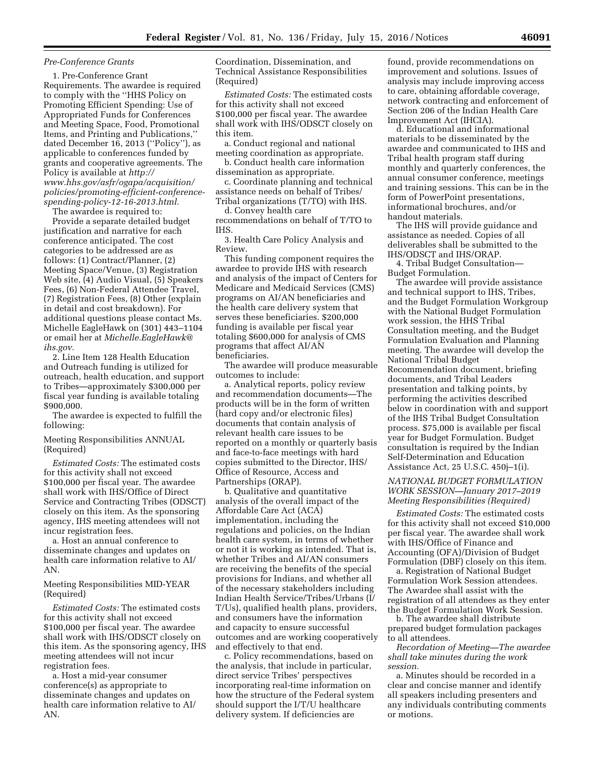## *Pre-Conference Grants*

1. Pre-Conference Grant Requirements. The awardee is required to comply with the ''HHS Policy on Promoting Efficient Spending: Use of Appropriated Funds for Conferences and Meeting Space, Food, Promotional Items, and Printing and Publications,'' dated December 16, 2013 (''Policy''), as applicable to conferences funded by grants and cooperative agreements. The Policy is available at *[http://](http://www.hhs.gov/asfr/ogapa/acquisition/policies/promoting-efficient-conference-spending-policy-12-16-2013.html) [www.hhs.gov/asfr/ogapa/acquisition/](http://www.hhs.gov/asfr/ogapa/acquisition/policies/promoting-efficient-conference-spending-policy-12-16-2013.html) [policies/promoting-efficient-conference](http://www.hhs.gov/asfr/ogapa/acquisition/policies/promoting-efficient-conference-spending-policy-12-16-2013.html)[spending-policy-12-16-2013.html.](http://www.hhs.gov/asfr/ogapa/acquisition/policies/promoting-efficient-conference-spending-policy-12-16-2013.html)* 

The awardee is required to:

Provide a separate detailed budget justification and narrative for each conference anticipated. The cost categories to be addressed are as follows: (1) Contract/Planner, (2) Meeting Space/Venue, (3) Registration Web site, (4) Audio Visual, (5) Speakers Fees, (6) Non-Federal Attendee Travel, (7) Registration Fees, (8) Other (explain in detail and cost breakdown). For additional questions please contact Ms. Michelle EagleHawk on (301) 443–1104 or email her at *[Michelle.EagleHawk@](mailto:Michelle.EagleHawk@ihs.gov) [ihs.gov.](mailto:Michelle.EagleHawk@ihs.gov)* 

2. Line Item 128 Health Education and Outreach funding is utilized for outreach, health education, and support to Tribes—approximately \$300,000 per fiscal year funding is available totaling \$900,000.

The awardee is expected to fulfill the following:

Meeting Responsibilities ANNUAL (Required)

*Estimated Costs:* The estimated costs for this activity shall not exceed \$100,000 per fiscal year. The awardee shall work with IHS/Office of Direct Service and Contracting Tribes (ODSCT) closely on this item. As the sponsoring agency, IHS meeting attendees will not incur registration fees.

a. Host an annual conference to disseminate changes and updates on health care information relative to AI/ AN.

# Meeting Responsibilities MID-YEAR (Required)

*Estimated Costs:* The estimated costs for this activity shall not exceed \$100,000 per fiscal year. The awardee shall work with IHS/ODSCT closely on this item. As the sponsoring agency, IHS meeting attendees will not incur registration fees.

a. Host a mid-year consumer conference(s) as appropriate to disseminate changes and updates on health care information relative to AI/ AN.

Coordination, Dissemination, and Technical Assistance Responsibilities (Required)

*Estimated Costs:* The estimated costs for this activity shall not exceed \$100,000 per fiscal year. The awardee shall work with IHS/ODSCT closely on this item.

a. Conduct regional and national meeting coordination as appropriate.

b. Conduct health care information dissemination as appropriate.

c. Coordinate planning and technical assistance needs on behalf of Tribes/ Tribal organizations (T/TO) with IHS.

d. Convey health care recommendations on behalf of T/TO to IHS.

3. Health Care Policy Analysis and Review.

This funding component requires the awardee to provide IHS with research and analysis of the impact of Centers for Medicare and Medicaid Services (CMS) programs on AI/AN beneficiaries and the health care delivery system that serves these beneficiaries. \$200,000 funding is available per fiscal year totaling \$600,000 for analysis of CMS programs that affect AI/AN beneficiaries.

The awardee will produce measurable outcomes to include:

a. Analytical reports, policy review and recommendation documents—The products will be in the form of written (hard copy and/or electronic files) documents that contain analysis of relevant health care issues to be reported on a monthly or quarterly basis and face-to-face meetings with hard copies submitted to the Director, IHS/ Office of Resource, Access and Partnerships (ORAP).

b. Qualitative and quantitative analysis of the overall impact of the Affordable Care Act (ACA) implementation, including the regulations and policies, on the Indian health care system, in terms of whether or not it is working as intended. That is, whether Tribes and AI/AN consumers are receiving the benefits of the special provisions for Indians, and whether all of the necessary stakeholders including Indian Health Service/Tribes/Urbans (I/ T/Us), qualified health plans, providers, and consumers have the information and capacity to ensure successful outcomes and are working cooperatively and effectively to that end.

c. Policy recommendations, based on the analysis, that include in particular, direct service Tribes' perspectives incorporating real-time information on how the structure of the Federal system should support the I/T/U healthcare delivery system. If deficiencies are

found, provide recommendations on improvement and solutions. Issues of analysis may include improving access to care, obtaining affordable coverage, network contracting and enforcement of Section 206 of the Indian Health Care Improvement Act (IHCIA).

d. Educational and informational materials to be disseminated by the awardee and communicated to IHS and Tribal health program staff during monthly and quarterly conferences, the annual consumer conference, meetings and training sessions. This can be in the form of PowerPoint presentations, informational brochures, and/or handout materials.

The IHS will provide guidance and assistance as needed. Copies of all deliverables shall be submitted to the IHS/ODSCT and IHS/ORAP.

4. Tribal Budget Consultation— Budget Formulation.

The awardee will provide assistance and technical support to IHS, Tribes, and the Budget Formulation Workgroup with the National Budget Formulation work session, the HHS Tribal Consultation meeting, and the Budget Formulation Evaluation and Planning meeting. The awardee will develop the National Tribal Budget Recommendation document, briefing documents, and Tribal Leaders presentation and talking points, by performing the activities described below in coordination with and support of the IHS Tribal Budget Consultation process. \$75,000 is available per fiscal year for Budget Formulation. Budget consultation is required by the Indian Self-Determination and Education Assistance Act, 25 U.S.C. 450j–1(i).

# *NATIONAL BUDGET FORMULATION WORK SESSION—January 2017–2019 Meeting Responsibilities (Required)*

*Estimated Costs:* The estimated costs for this activity shall not exceed \$10,000 per fiscal year. The awardee shall work with IHS/Office of Finance and Accounting (OFA)/Division of Budget Formulation (DBF) closely on this item.

a. Registration of National Budget Formulation Work Session attendees. The Awardee shall assist with the registration of all attendees as they enter the Budget Formulation Work Session.

b. The awardee shall distribute prepared budget formulation packages to all attendees.

*Recordation of Meeting—The awardee shall take minutes during the work session.* 

a. Minutes should be recorded in a clear and concise manner and identify all speakers including presenters and any individuals contributing comments or motions.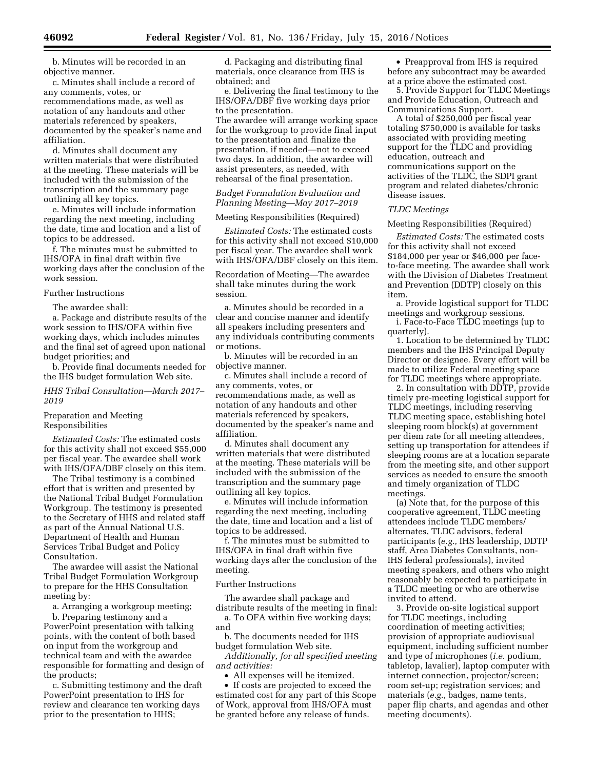b. Minutes will be recorded in an objective manner.

c. Minutes shall include a record of any comments, votes, or recommendations made, as well as notation of any handouts and other materials referenced by speakers, documented by the speaker's name and affiliation.

d. Minutes shall document any written materials that were distributed at the meeting. These materials will be included with the submission of the transcription and the summary page outlining all key topics.

e. Minutes will include information regarding the next meeting, including the date, time and location and a list of topics to be addressed.

f. The minutes must be submitted to IHS/OFA in final draft within five working days after the conclusion of the work session.

# Further Instructions

The awardee shall:

a. Package and distribute results of the work session to IHS/OFA within five working days, which includes minutes and the final set of agreed upon national budget priorities; and

b. Provide final documents needed for the IHS budget formulation Web site.

## *HHS Tribal Consultation—March 2017– 2019*

# Preparation and Meeting Responsibilities

*Estimated Costs:* The estimated costs for this activity shall not exceed \$55,000 per fiscal year. The awardee shall work with IHS/OFA/DBF closely on this item.

The Tribal testimony is a combined effort that is written and presented by the National Tribal Budget Formulation Workgroup. The testimony is presented to the Secretary of HHS and related staff as part of the Annual National U.S. Department of Health and Human Services Tribal Budget and Policy Consultation.

The awardee will assist the National Tribal Budget Formulation Workgroup to prepare for the HHS Consultation meeting by:

a. Arranging a workgroup meeting;

b. Preparing testimony and a PowerPoint presentation with talking points, with the content of both based on input from the workgroup and technical team and with the awardee responsible for formatting and design of the products;

c. Submitting testimony and the draft PowerPoint presentation to IHS for review and clearance ten working days prior to the presentation to HHS;

d. Packaging and distributing final materials, once clearance from IHS is obtained; and

e. Delivering the final testimony to the IHS/OFA/DBF five working days prior to the presentation. The awardee will arrange working space for the workgroup to provide final input to the presentation and finalize the presentation, if needed—not to exceed two days. In addition, the awardee will assist presenters, as needed, with rehearsal of the final presentation.

# *Budget Formulation Evaluation and Planning Meeting—May 2017–2019*

# Meeting Responsibilities (Required)

*Estimated Costs:* The estimated costs for this activity shall not exceed \$10,000 per fiscal year. The awardee shall work with IHS/OFA/DBF closely on this item.

Recordation of Meeting—The awardee shall take minutes during the work session.

a. Minutes should be recorded in a clear and concise manner and identify all speakers including presenters and any individuals contributing comments or motions.

b. Minutes will be recorded in an objective manner.

c. Minutes shall include a record of any comments, votes, or recommendations made, as well as notation of any handouts and other materials referenced by speakers, documented by the speaker's name and affiliation.

d. Minutes shall document any written materials that were distributed at the meeting. These materials will be included with the submission of the transcription and the summary page outlining all key topics.

e. Minutes will include information regarding the next meeting, including the date, time and location and a list of topics to be addressed.

f. The minutes must be submitted to IHS/OFA in final draft within five working days after the conclusion of the meeting.

### Further Instructions

The awardee shall package and distribute results of the meeting in final: a. To OFA within five working days;

and

b. The documents needed for IHS budget formulation Web site.

*Additionally, for all specified meeting and activities:* 

• All expenses will be itemized.

• If costs are projected to exceed the estimated cost for any part of this Scope of Work, approval from IHS/OFA must be granted before any release of funds.

• Preapproval from IHS is required before any subcontract may be awarded at a price above the estimated cost.

5. Provide Support for TLDC Meetings and Provide Education, Outreach and Communications Support.

A total of \$250,000 per fiscal year totaling \$750,000 is available for tasks associated with providing meeting support for the TLDC and providing education, outreach and communications support on the activities of the TLDC, the SDPI grant program and related diabetes/chronic disease issues.

## *TLDC Meetings*

## Meeting Responsibilities (Required)

*Estimated Costs:* The estimated costs for this activity shall not exceed \$184,000 per year or \$46,000 per faceto-face meeting. The awardee shall work with the Division of Diabetes Treatment and Prevention (DDTP) closely on this item.

a. Provide logistical support for TLDC meetings and workgroup sessions.

i. Face-to-Face TLDC meetings (up to quarterly).

1. Location to be determined by TLDC members and the IHS Principal Deputy Director or designee. Every effort will be made to utilize Federal meeting space for TLDC meetings where appropriate.

2. In consultation with DDTP, provide timely pre-meeting logistical support for TLDC meetings, including reserving TLDC meeting space, establishing hotel sleeping room block(s) at government per diem rate for all meeting attendees, setting up transportation for attendees if sleeping rooms are at a location separate from the meeting site, and other support services as needed to ensure the smooth and timely organization of TLDC meetings.

(a) Note that, for the purpose of this cooperative agreement, TLDC meeting attendees include TLDC members/ alternates, TLDC advisors, federal participants (*e.g.,* IHS leadership, DDTP staff, Area Diabetes Consultants, non-IHS federal professionals), invited meeting speakers, and others who might reasonably be expected to participate in a TLDC meeting or who are otherwise invited to attend.

3. Provide on-site logistical support for TLDC meetings, including coordination of meeting activities; provision of appropriate audiovisual equipment, including sufficient number and type of microphones (*i.e.* podium, tabletop, lavalier), laptop computer with internet connection, projector/screen; room set-up; registration services; and materials (*e.g.,* badges, name tents, paper flip charts, and agendas and other meeting documents).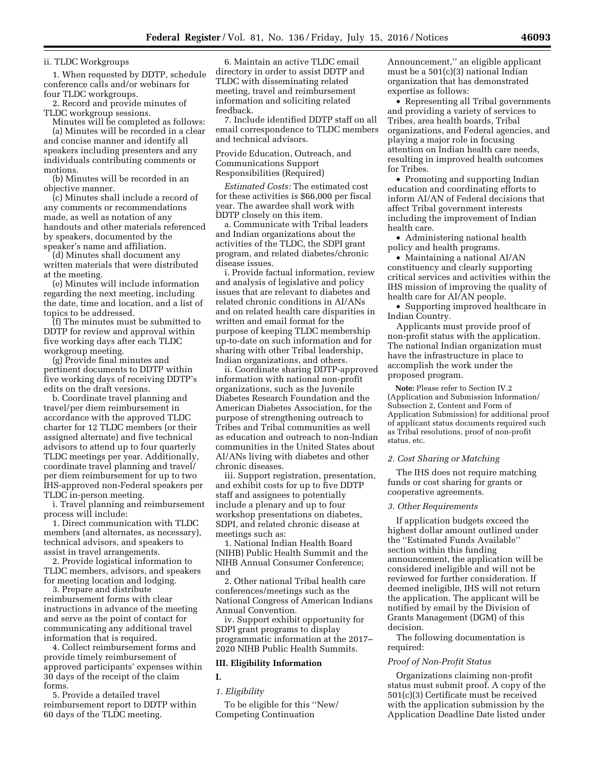ii. TLDC Workgroups

1. When requested by DDTP, schedule conference calls and/or webinars for four TLDC workgroups.

2. Record and provide minutes of TLDC workgroup sessions.

Minutes will be completed as follows: (a) Minutes will be recorded in a clear and concise manner and identify all speakers including presenters and any individuals contributing comments or motions.

(b) Minutes will be recorded in an objective manner.

(c) Minutes shall include a record of any comments or recommendations made, as well as notation of any handouts and other materials referenced by speakers, documented by the speaker's name and affiliation.

(d) Minutes shall document any written materials that were distributed at the meeting.

(e) Minutes will include information regarding the next meeting, including the date, time and location, and a list of topics to be addressed.

(f) The minutes must be submitted to DDTP for review and approval within five working days after each TLDC workgroup meeting.

(g) Provide final minutes and pertinent documents to DDTP within five working days of receiving DDTP's edits on the draft versions.

b. Coordinate travel planning and travel/per diem reimbursement in accordance with the approved TLDC charter for 12 TLDC members (or their assigned alternate) and five technical advisors to attend up to four quarterly TLDC meetings per year. Additionally, coordinate travel planning and travel/ per diem reimbursement for up to two IHS-approved non-Federal speakers per TLDC in-person meeting.

i. Travel planning and reimbursement process will include:

1. Direct communication with TLDC members (and alternates, as necessary), technical advisors, and speakers to assist in travel arrangements.

2. Provide logistical information to TLDC members, advisors, and speakers for meeting location and lodging.

3. Prepare and distribute reimbursement forms with clear instructions in advance of the meeting and serve as the point of contact for communicating any additional travel information that is required.

4. Collect reimbursement forms and provide timely reimbursement of approved participants' expenses within 30 days of the receipt of the claim forms.

5. Provide a detailed travel reimbursement report to DDTP within 60 days of the TLDC meeting.

6. Maintain an active TLDC email directory in order to assist DDTP and TLDC with disseminating related meeting, travel and reimbursement information and soliciting related feedback.

7. Include identified DDTP staff on all email correspondence to TLDC members and technical advisors.

Provide Education, Outreach, and Communications Support Responsibilities (Required)

*Estimated Costs:* The estimated cost for these activities is \$66,000 per fiscal year. The awardee shall work with DDTP closely on this item.

a. Communicate with Tribal leaders and Indian organizations about the activities of the TLDC, the SDPI grant program, and related diabetes/chronic disease issues.

i. Provide factual information, review and analysis of legislative and policy issues that are relevant to diabetes and related chronic conditions in AI/ANs and on related health care disparities in written and email format for the purpose of keeping TLDC membership up-to-date on such information and for sharing with other Tribal leadership, Indian organizations, and others.

ii. Coordinate sharing DDTP-approved information with national non-profit organizations, such as the Juvenile Diabetes Research Foundation and the American Diabetes Association, for the purpose of strengthening outreach to Tribes and Tribal communities as well as education and outreach to non-Indian communities in the United States about AI/ANs living with diabetes and other chronic diseases.

iii. Support registration, presentation, and exhibit costs for up to five DDTP staff and assignees to potentially include a plenary and up to four workshop presentations on diabetes, SDPI, and related chronic disease at meetings such as:

1. National Indian Health Board (NIHB) Public Health Summit and the NIHB Annual Consumer Conference; and

2. Other national Tribal health care conferences/meetings such as the National Congress of American Indians Annual Convention.

iv. Support exhibit opportunity for SDPI grant programs to display programmatic information at the 2017– 2020 NIHB Public Health Summits.

## **III. Eligibility Information**

**I.** 

*1. Eligibility* 

To be eligible for this ''New/ Competing Continuation

Announcement,'' an eligible applicant must be a 501(c)(3) national Indian organization that has demonstrated expertise as follows:

• Representing all Tribal governments and providing a variety of services to Tribes, area health boards, Tribal organizations, and Federal agencies, and playing a major role in focusing attention on Indian health care needs, resulting in improved health outcomes for Tribes.

• Promoting and supporting Indian education and coordinating efforts to inform AI/AN of Federal decisions that affect Tribal government interests including the improvement of Indian health care.

• Administering national health policy and health programs.

• Maintaining a national AI/AN constituency and clearly supporting critical services and activities within the IHS mission of improving the quality of health care for AI/AN people.

• Supporting improved healthcare in Indian Country.

Applicants must provide proof of non-profit status with the application. The national Indian organization must have the infrastructure in place to accomplish the work under the proposed program.

**Note:** Please refer to Section IV.2 (Application and Submission Information/ Subsection 2, Content and Form of Application Submission) for additional proof of applicant status documents required such as Tribal resolutions, proof of non-profit status, etc.

## *2. Cost Sharing or Matching*

The IHS does not require matching funds or cost sharing for grants or cooperative agreements.

## *3. Other Requirements*

If application budgets exceed the highest dollar amount outlined under the ''Estimated Funds Available'' section within this funding announcement, the application will be considered ineligible and will not be reviewed for further consideration. If deemed ineligible, IHS will not return the application. The applicant will be notified by email by the Division of Grants Management (DGM) of this decision.

The following documentation is required:

### *Proof of Non-Profit Status*

Organizations claiming non-profit status must submit proof. A copy of the 501(c)(3) Certificate must be received with the application submission by the Application Deadline Date listed under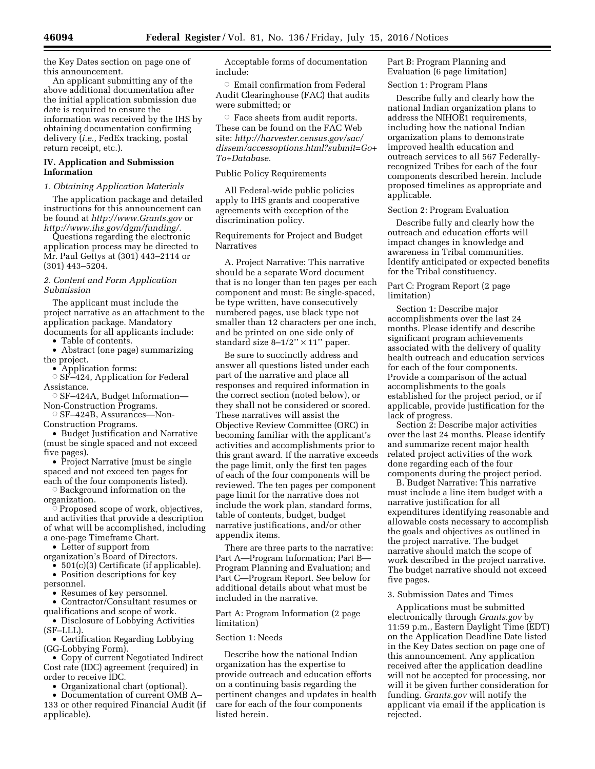the Key Dates section on page one of this announcement.

An applicant submitting any of the above additional documentation after the initial application submission due date is required to ensure the information was received by the IHS by obtaining documentation confirming delivery (*i.e.,* FedEx tracking, postal return receipt, etc.).

# **IV. Application and Submission Information**

## *1. Obtaining Application Materials*

The application package and detailed instructions for this announcement can be found at *<http://www.Grants.gov>*or *[http://www.ihs.gov/dgm/funding/.](http://www.ihs.gov/dgm/funding/)* 

Questions regarding the electronic application process may be directed to Mr. Paul Gettys at (301) 443–2114 or (301) 443–5204.

# *2. Content and Form Application Submission*

The applicant must include the project narrative as an attachment to the application package. Mandatory documents for all applicants include:

• Table of contents.

• Abstract (one page) summarizing the project.

• Application forms: Æ SF–424, Application for Federal Assistance.

 $\circ$  SF–424A, Budget Information— Non-Construction Programs.

© SF–424B, Assurances—Non-Construction Programs.

• Budget Justification and Narrative (must be single spaced and not exceed five pages).

• Project Narrative (must be single spaced and not exceed ten pages for each of the four components listed).

Æ Background information on the

organization.

Æ Proposed scope of work, objectives, and activities that provide a description of what will be accomplished, including a one-page Timeframe Chart.

• Letter of support from

organization's Board of Directors.

• 501(c)(3) Certificate (if applicable). • Position descriptions for key

personnel.

• Resumes of key personnel.

• Contractor/Consultant resumes or

qualifications and scope of work. • Disclosure of Lobbying Activities (SF–LLL).

• Certification Regarding Lobbying (GG-Lobbying Form).

• Copy of current Negotiated Indirect Cost rate (IDC) agreement (required) in order to receive IDC.

• Organizational chart (optional).

• Documentation of current OMB A– 133 or other required Financial Audit (if applicable).

Acceptable forms of documentation include:

 $\circ$  Email confirmation from Federal Audit Clearinghouse (FAC) that audits were submitted; or

 $\circ$  Face sheets from audit reports. These can be found on the FAC Web site: *[http://harvester.census.gov/sac/](http://harvester.census.gov/sac/dissem/accessoptions.html?submit=Go+To+Database) [dissem/accessoptions.html?submit=Go+](http://harvester.census.gov/sac/dissem/accessoptions.html?submit=Go+To+Database) [To+Database.](http://harvester.census.gov/sac/dissem/accessoptions.html?submit=Go+To+Database)* 

# Public Policy Requirements

All Federal-wide public policies apply to IHS grants and cooperative agreements with exception of the discrimination policy.

Requirements for Project and Budget **Narratives** 

A. Project Narrative: This narrative should be a separate Word document that is no longer than ten pages per each component and must: Be single-spaced, be type written, have consecutively numbered pages, use black type not smaller than 12 characters per one inch, and be printed on one side only of standard size  $8-1/2$ "  $\times$  11" paper.

Be sure to succinctly address and answer all questions listed under each part of the narrative and place all responses and required information in the correct section (noted below), or they shall not be considered or scored. These narratives will assist the Objective Review Committee (ORC) in becoming familiar with the applicant's activities and accomplishments prior to this grant award. If the narrative exceeds the page limit, only the first ten pages of each of the four components will be reviewed. The ten pages per component page limit for the narrative does not include the work plan, standard forms, table of contents, budget, budget narrative justifications, and/or other appendix items.

There are three parts to the narrative: Part A—Program Information; Part B— Program Planning and Evaluation; and Part C—Program Report. See below for additional details about what must be included in the narrative.

Part A: Program Information (2 page limitation)

## Section 1: Needs

Describe how the national Indian organization has the expertise to provide outreach and education efforts on a continuing basis regarding the pertinent changes and updates in health care for each of the four components listed herein.

Part B: Program Planning and Evaluation (6 page limitation)

Section 1: Program Plans

Describe fully and clearly how the national Indian organization plans to address the NIHOE1 requirements, including how the national Indian organization plans to demonstrate improved health education and outreach services to all 567 Federallyrecognized Tribes for each of the four components described herein. Include proposed timelines as appropriate and applicable.

# Section 2: Program Evaluation

Describe fully and clearly how the outreach and education efforts will impact changes in knowledge and awareness in Tribal communities. Identify anticipated or expected benefits for the Tribal constituency.

# Part C: Program Report (2 page limitation)

Section 1: Describe major accomplishments over the last 24 months. Please identify and describe significant program achievements associated with the delivery of quality health outreach and education services for each of the four components. Provide a comparison of the actual accomplishments to the goals established for the project period, or if applicable, provide justification for the lack of progress.

Section 2: Describe major activities over the last 24 months. Please identify and summarize recent major health related project activities of the work done regarding each of the four components during the project period.

B. Budget Narrative: This narrative must include a line item budget with a narrative justification for all expenditures identifying reasonable and allowable costs necessary to accomplish the goals and objectives as outlined in the project narrative. The budget narrative should match the scope of work described in the project narrative. The budget narrative should not exceed five pages.

# 3. Submission Dates and Times

Applications must be submitted electronically through *Grants.gov* by 11:59 p.m., Eastern Daylight Time (EDT) on the Application Deadline Date listed in the Key Dates section on page one of this announcement. Any application received after the application deadline will not be accepted for processing, nor will it be given further consideration for funding. *Grants.gov* will notify the applicant via email if the application is rejected.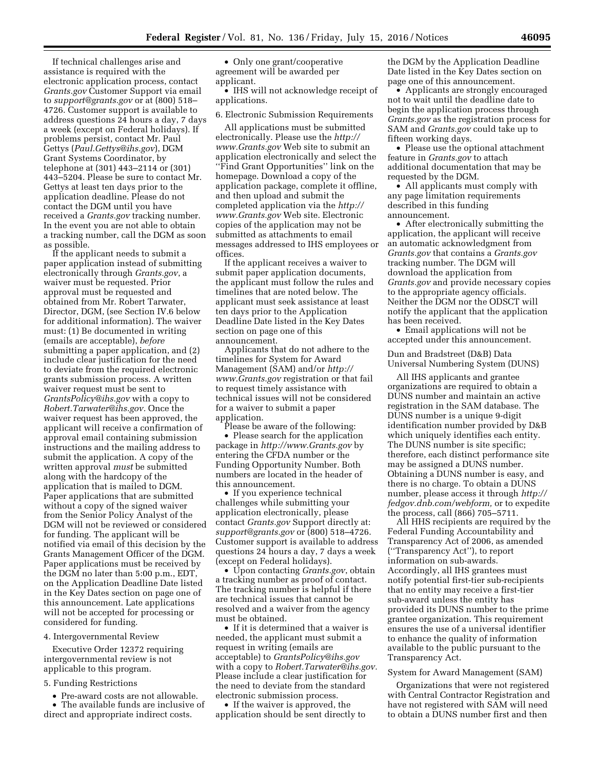If technical challenges arise and assistance is required with the electronic application process, contact *Grants.gov* Customer Support via email to *[support@grants.gov](mailto:support@grants.gov)* or at (800) 518– 4726. Customer support is available to address questions 24 hours a day, 7 days a week (except on Federal holidays). If problems persist, contact Mr. Paul Gettys (*[Paul.Gettys@ihs.gov](mailto:Paul.Gettys@ihs.gov)*), DGM Grant Systems Coordinator, by telephone at (301) 443–2114 or (301) 443–5204. Please be sure to contact Mr. Gettys at least ten days prior to the application deadline. Please do not contact the DGM until you have received a *Grants.gov* tracking number. In the event you are not able to obtain a tracking number, call the DGM as soon as possible.

If the applicant needs to submit a paper application instead of submitting electronically through *Grants.gov*, a waiver must be requested. Prior approval must be requested and obtained from Mr. Robert Tarwater, Director, DGM, (see Section IV.6 below for additional information). The waiver must: (1) Be documented in writing (emails are acceptable), *before*  submitting a paper application, and (2) include clear justification for the need to deviate from the required electronic grants submission process. A written waiver request must be sent to *[GrantsPolicy@ihs.gov](mailto:GrantsPolicy@ihs.gov)* with a copy to *[Robert.Tarwater@ihs.gov.](mailto:Robert.Tarwater@ihs.gov)* Once the waiver request has been approved, the applicant will receive a confirmation of approval email containing submission instructions and the mailing address to submit the application. A copy of the written approval *must* be submitted along with the hardcopy of the application that is mailed to DGM. Paper applications that are submitted without a copy of the signed waiver from the Senior Policy Analyst of the DGM will not be reviewed or considered for funding. The applicant will be notified via email of this decision by the Grants Management Officer of the DGM. Paper applications must be received by the DGM no later than 5:00 p.m., EDT, on the Application Deadline Date listed in the Key Dates section on page one of this announcement. Late applications will not be accepted for processing or considered for funding.

#### 4. Intergovernmental Review

Executive Order 12372 requiring intergovernmental review is not applicable to this program.

#### 5. Funding Restrictions

• Pre-award costs are not allowable.

• The available funds are inclusive of direct and appropriate indirect costs.

• Only one grant/cooperative agreement will be awarded per applicant.

• IHS will not acknowledge receipt of applications.

#### 6. Electronic Submission Requirements

All applications must be submitted electronically. Please use the *[http://](http://www.Grants.gov) [www.Grants.gov](http://www.Grants.gov)* Web site to submit an application electronically and select the ''Find Grant Opportunities'' link on the homepage. Download a copy of the application package, complete it offline, and then upload and submit the completed application via the *[http://](http://www.Grants.gov) [www.Grants.gov](http://www.Grants.gov)* Web site. Electronic copies of the application may not be submitted as attachments to email messages addressed to IHS employees or offices.

If the applicant receives a waiver to submit paper application documents, the applicant must follow the rules and timelines that are noted below. The applicant must seek assistance at least ten days prior to the Application Deadline Date listed in the Key Dates section on page one of this announcement.

Applicants that do not adhere to the timelines for System for Award Management (SAM) and/or *[http://](http://www.Grants.gov) [www.Grants.gov](http://www.Grants.gov)* registration or that fail to request timely assistance with technical issues will not be considered for a waiver to submit a paper application.

Please be aware of the following:

• Please search for the application package in *<http://www.Grants.gov>* by entering the CFDA number or the Funding Opportunity Number. Both numbers are located in the header of this announcement.

• If you experience technical challenges while submitting your application electronically, please contact *Grants.gov* Support directly at: *[support@grants.gov](mailto:support@grants.gov)* or (800) 518–4726. Customer support is available to address questions 24 hours a day, 7 days a week (except on Federal holidays).

• Upon contacting *Grants.gov*, obtain a tracking number as proof of contact. The tracking number is helpful if there are technical issues that cannot be resolved and a waiver from the agency must be obtained.

• If it is determined that a waiver is needed, the applicant must submit a request in writing (emails are acceptable) to *[GrantsPolicy@ihs.gov](mailto:GrantsPolicy@ihs.gov)*  with a copy to *[Robert.Tarwater@ihs.gov.](mailto:Robert.Tarwater@ihs.gov)*  Please include a clear justification for the need to deviate from the standard electronic submission process.

• If the waiver is approved, the application should be sent directly to

the DGM by the Application Deadline Date listed in the Key Dates section on page one of this announcement.

• Applicants are strongly encouraged not to wait until the deadline date to begin the application process through *Grants.gov* as the registration process for SAM and *Grants.gov* could take up to fifteen working days.

• Please use the optional attachment feature in *Grants.gov* to attach additional documentation that may be requested by the DGM.

• All applicants must comply with any page limitation requirements described in this funding announcement.

• After electronically submitting the application, the applicant will receive an automatic acknowledgment from *Grants.gov* that contains a *Grants.gov*  tracking number. The DGM will download the application from *Grants.gov* and provide necessary copies to the appropriate agency officials. Neither the DGM nor the ODSCT will notify the applicant that the application has been received.

• Email applications will not be accepted under this announcement.

Dun and Bradstreet (D&B) Data Universal Numbering System (DUNS)

All IHS applicants and grantee organizations are required to obtain a DUNS number and maintain an active registration in the SAM database. The DUNS number is a unique 9-digit identification number provided by D&B which uniquely identifies each entity. The DUNS number is site specific; therefore, each distinct performance site may be assigned a DUNS number. Obtaining a DUNS number is easy, and there is no charge. To obtain a DUNS number, please access it through *[http://](http://fedgov.dnb.com/webform)  [fedgov.dnb.com/webform,](http://fedgov.dnb.com/webform)* or to expedite the process, call (866) 705–5711.

All HHS recipients are required by the Federal Funding Accountability and Transparency Act of 2006, as amended (''Transparency Act''), to report information on sub-awards. Accordingly, all IHS grantees must notify potential first-tier sub-recipients that no entity may receive a first-tier sub-award unless the entity has provided its DUNS number to the prime grantee organization. This requirement ensures the use of a universal identifier to enhance the quality of information available to the public pursuant to the Transparency Act.

### System for Award Management (SAM)

Organizations that were not registered with Central Contractor Registration and have not registered with SAM will need to obtain a DUNS number first and then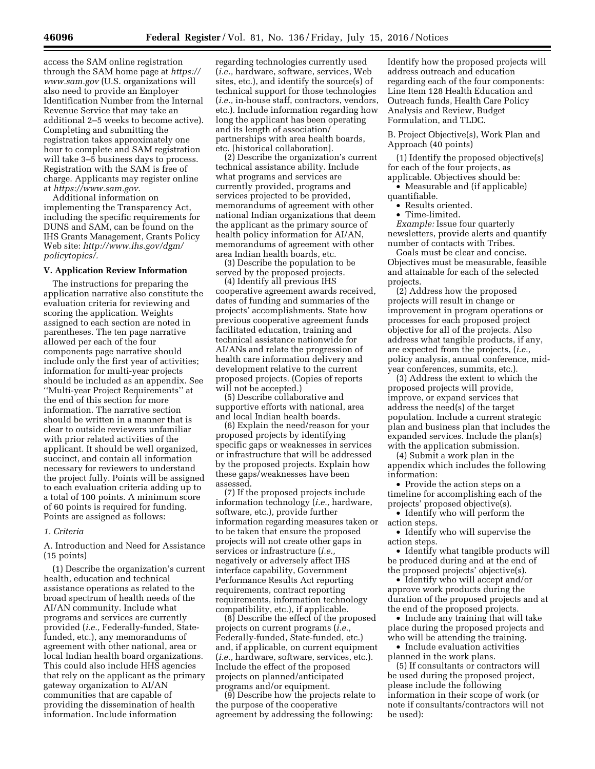access the SAM online registration through the SAM home page at *[https://](https://www.sam.gov) [www.sam.gov](https://www.sam.gov)* (U.S. organizations will also need to provide an Employer Identification Number from the Internal Revenue Service that may take an additional 2–5 weeks to become active). Completing and submitting the registration takes approximately one hour to complete and SAM registration will take 3–5 business days to process. Registration with the SAM is free of charge. Applicants may register online at *[https://www.sam.gov.](https://www.sam.gov)* 

Additional information on implementing the Transparency Act, including the specific requirements for DUNS and SAM, can be found on the IHS Grants Management, Grants Policy Web site: *[http://www.ihs.gov/dgm/](http://www.ihs.gov/dgm/policytopics/) [policytopics/.](http://www.ihs.gov/dgm/policytopics/)* 

### **V. Application Review Information**

The instructions for preparing the application narrative also constitute the evaluation criteria for reviewing and scoring the application. Weights assigned to each section are noted in parentheses. The ten page narrative allowed per each of the four components page narrative should include only the first year of activities; information for multi-year projects should be included as an appendix. See ''Multi-year Project Requirements'' at the end of this section for more information. The narrative section should be written in a manner that is clear to outside reviewers unfamiliar with prior related activities of the applicant. It should be well organized, succinct, and contain all information necessary for reviewers to understand the project fully. Points will be assigned to each evaluation criteria adding up to a total of 100 points. A minimum score of 60 points is required for funding. Points are assigned as follows:

#### *1. Criteria*

A. Introduction and Need for Assistance (15 points)

(1) Describe the organization's current health, education and technical assistance operations as related to the broad spectrum of health needs of the AI/AN community. Include what programs and services are currently provided (*i.e.,* Federally-funded, Statefunded, etc.), any memorandums of agreement with other national, area or local Indian health board organizations. This could also include HHS agencies that rely on the applicant as the primary gateway organization to AI/AN communities that are capable of providing the dissemination of health information. Include information

regarding technologies currently used (*i.e.,* hardware, software, services, Web sites, etc.), and identify the source(s) of technical support for those technologies (*i.e.,* in-house staff, contractors, vendors, etc.). Include information regarding how long the applicant has been operating and its length of association/ partnerships with area health boards, etc. [historical collaboration].

(2) Describe the organization's current technical assistance ability. Include what programs and services are currently provided, programs and services projected to be provided, memorandums of agreement with other national Indian organizations that deem the applicant as the primary source of health policy information for AI/AN, memorandums of agreement with other area Indian health boards, etc.

(3) Describe the population to be served by the proposed projects.

(4) Identify all previous IHS cooperative agreement awards received, dates of funding and summaries of the projects' accomplishments. State how previous cooperative agreement funds facilitated education, training and technical assistance nationwide for AI/ANs and relate the progression of health care information delivery and development relative to the current proposed projects. (Copies of reports will not be accepted.)

(5) Describe collaborative and supportive efforts with national, area and local Indian health boards.

(6) Explain the need/reason for your proposed projects by identifying specific gaps or weaknesses in services or infrastructure that will be addressed by the proposed projects. Explain how these gaps/weaknesses have been assessed.

(7) If the proposed projects include information technology (*i.e.,* hardware, software, etc.), provide further information regarding measures taken or to be taken that ensure the proposed projects will not create other gaps in services or infrastructure (*i.e.,*  negatively or adversely affect IHS interface capability, Government Performance Results Act reporting requirements, contract reporting requirements, information technology compatibility, etc.), if applicable.

(8) Describe the effect of the proposed projects on current programs (*i.e.,*  Federally-funded, State-funded, etc.) and, if applicable, on current equipment (*i.e.,* hardware, software, services, etc.). Include the effect of the proposed projects on planned/anticipated programs and/or equipment.

(9) Describe how the projects relate to the purpose of the cooperative agreement by addressing the following:

Identify how the proposed projects will address outreach and education regarding each of the four components: Line Item 128 Health Education and Outreach funds, Health Care Policy Analysis and Review, Budget Formulation, and TLDC.

B. Project Objective(s), Work Plan and Approach (40 points)

(1) Identify the proposed objective(s) for each of the four projects, as applicable. Objectives should be:

• Measurable and (if applicable) quantifiable.

• Results oriented.

• Time-limited.

*Example:* Issue four quarterly newsletters, provide alerts and quantify number of contacts with Tribes.

Goals must be clear and concise. Objectives must be measurable, feasible and attainable for each of the selected projects.

(2) Address how the proposed projects will result in change or improvement in program operations or processes for each proposed project objective for all of the projects. Also address what tangible products, if any, are expected from the projects, (*i.e.,*  policy analysis, annual conference, midyear conferences, summits, etc.).

(3) Address the extent to which the proposed projects will provide, improve, or expand services that address the need(s) of the target population. Include a current strategic plan and business plan that includes the expanded services. Include the plan(s) with the application submission.

(4) Submit a work plan in the appendix which includes the following information:

• Provide the action steps on a timeline for accomplishing each of the projects' proposed objective(s).

• Identify who will perform the action steps.

• Identify who will supervise the action steps.

• Identify what tangible products will be produced during and at the end of the proposed projects' objective(s).

• Identify who will accept and/or approve work products during the duration of the proposed projects and at the end of the proposed projects.

• Include any training that will take place during the proposed projects and who will be attending the training.

• Include evaluation activities planned in the work plans.

(5) If consultants or contractors will be used during the proposed project, please include the following information in their scope of work (or note if consultants/contractors will not be used):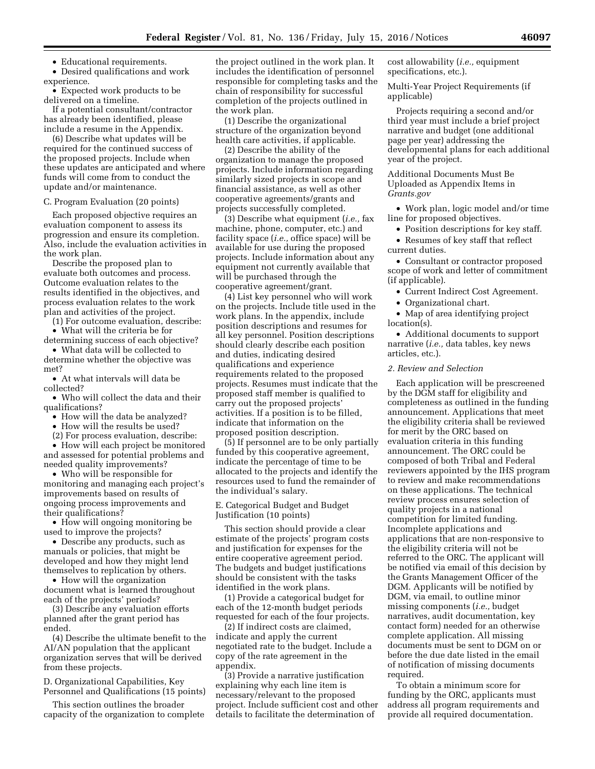• Educational requirements.

• Desired qualifications and work experience.

• Expected work products to be delivered on a timeline.

If a potential consultant/contractor has already been identified, please include a resume in the Appendix.

(6) Describe what updates will be required for the continued success of the proposed projects. Include when these updates are anticipated and where funds will come from to conduct the update and/or maintenance.

C. Program Evaluation (20 points)

Each proposed objective requires an evaluation component to assess its progression and ensure its completion. Also, include the evaluation activities in the work plan.

Describe the proposed plan to evaluate both outcomes and process. Outcome evaluation relates to the results identified in the objectives, and process evaluation relates to the work plan and activities of the project.

(1) For outcome evaluation, describe: • What will the criteria be for

determining success of each objective? • What data will be collected to

determine whether the objective was met?

• At what intervals will data be collected?

• Who will collect the data and their qualifications?

• How will the data be analyzed?

• How will the results be used?

(2) For process evaluation, describe:

• How will each project be monitored and assessed for potential problems and needed quality improvements?

• Who will be responsible for monitoring and managing each project's improvements based on results of ongoing process improvements and their qualifications?

• How will ongoing monitoring be used to improve the projects?

• Describe any products, such as manuals or policies, that might be developed and how they might lend themselves to replication by others.

• How will the organization document what is learned throughout each of the projects' periods?

(3) Describe any evaluation efforts planned after the grant period has ended.

(4) Describe the ultimate benefit to the AI/AN population that the applicant organization serves that will be derived from these projects.

D. Organizational Capabilities, Key Personnel and Qualifications (15 points)

This section outlines the broader capacity of the organization to complete the project outlined in the work plan. It includes the identification of personnel responsible for completing tasks and the chain of responsibility for successful completion of the projects outlined in the work plan.

(1) Describe the organizational structure of the organization beyond health care activities, if applicable.

(2) Describe the ability of the organization to manage the proposed projects. Include information regarding similarly sized projects in scope and financial assistance, as well as other cooperative agreements/grants and projects successfully completed.

(3) Describe what equipment (*i.e.,* fax machine, phone, computer, etc.) and facility space (*i.e.,* office space) will be available for use during the proposed projects. Include information about any equipment not currently available that will be purchased through the cooperative agreement/grant.

(4) List key personnel who will work on the projects. Include title used in the work plans. In the appendix, include position descriptions and resumes for all key personnel. Position descriptions should clearly describe each position and duties, indicating desired qualifications and experience requirements related to the proposed projects. Resumes must indicate that the proposed staff member is qualified to carry out the proposed projects' activities. If a position is to be filled, indicate that information on the proposed position description.

(5) If personnel are to be only partially funded by this cooperative agreement, indicate the percentage of time to be allocated to the projects and identify the resources used to fund the remainder of the individual's salary.

E. Categorical Budget and Budget Justification (10 points)

This section should provide a clear estimate of the projects' program costs and justification for expenses for the entire cooperative agreement period. The budgets and budget justifications should be consistent with the tasks identified in the work plans.

(1) Provide a categorical budget for each of the 12-month budget periods requested for each of the four projects.

(2) If indirect costs are claimed, indicate and apply the current negotiated rate to the budget. Include a copy of the rate agreement in the appendix.

(3) Provide a narrative justification explaining why each line item is necessary/relevant to the proposed project. Include sufficient cost and other details to facilitate the determination of

cost allowability (*i.e.,* equipment specifications, etc.).

Multi-Year Project Requirements (if applicable)

Projects requiring a second and/or third year must include a brief project narrative and budget (one additional page per year) addressing the developmental plans for each additional year of the project.

Additional Documents Must Be Uploaded as Appendix Items in *Grants.gov* 

• Work plan, logic model and/or time line for proposed objectives.

• Position descriptions for key staff.

• Resumes of key staff that reflect current duties.

• Consultant or contractor proposed scope of work and letter of commitment (if applicable).

• Current Indirect Cost Agreement.

• Organizational chart.

• Map of area identifying project location(s).

• Additional documents to support narrative (*i.e.,* data tables, key news articles, etc.).

## *2. Review and Selection*

Each application will be prescreened by the DGM staff for eligibility and completeness as outlined in the funding announcement. Applications that meet the eligibility criteria shall be reviewed for merit by the ORC based on evaluation criteria in this funding announcement. The ORC could be composed of both Tribal and Federal reviewers appointed by the IHS program to review and make recommendations on these applications. The technical review process ensures selection of quality projects in a national competition for limited funding. Incomplete applications and applications that are non-responsive to the eligibility criteria will not be referred to the ORC. The applicant will be notified via email of this decision by the Grants Management Officer of the DGM. Applicants will be notified by DGM, via email, to outline minor missing components (*i.e.,* budget narratives, audit documentation, key contact form) needed for an otherwise complete application. All missing documents must be sent to DGM on or before the due date listed in the email of notification of missing documents required.

To obtain a minimum score for funding by the ORC, applicants must address all program requirements and provide all required documentation.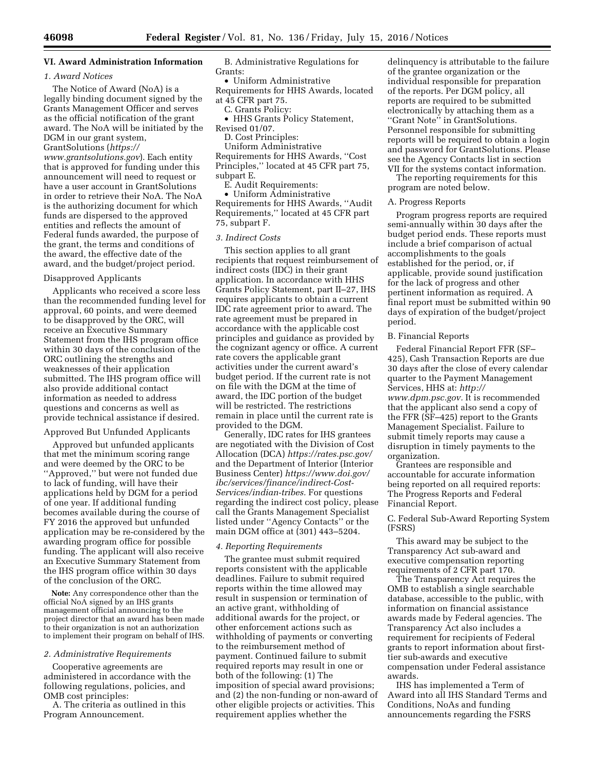# **VI. Award Administration Information**

#### *1. Award Notices*

The Notice of Award (NoA) is a legally binding document signed by the Grants Management Officer and serves as the official notification of the grant award. The NoA will be initiated by the DGM in our grant system, GrantSolutions (*[https://](https://www.grantsolutions.gov) [www.grantsolutions.gov](https://www.grantsolutions.gov)*). Each entity that is approved for funding under this announcement will need to request or have a user account in GrantSolutions in order to retrieve their NoA. The NoA is the authorizing document for which funds are dispersed to the approved entities and reflects the amount of Federal funds awarded, the purpose of the grant, the terms and conditions of the award, the effective date of the award, and the budget/project period.

#### Disapproved Applicants

Applicants who received a score less than the recommended funding level for approval, 60 points, and were deemed to be disapproved by the ORC, will receive an Executive Summary Statement from the IHS program office within 30 days of the conclusion of the ORC outlining the strengths and weaknesses of their application submitted. The IHS program office will also provide additional contact information as needed to address questions and concerns as well as provide technical assistance if desired.

### Approved But Unfunded Applicants

Approved but unfunded applicants that met the minimum scoring range and were deemed by the ORC to be ''Approved,'' but were not funded due to lack of funding, will have their applications held by DGM for a period of one year. If additional funding becomes available during the course of FY 2016 the approved but unfunded application may be re-considered by the awarding program office for possible funding. The applicant will also receive an Executive Summary Statement from the IHS program office within 30 days of the conclusion of the ORC.

**Note:** Any correspondence other than the official NoA signed by an IHS grants management official announcing to the project director that an award has been made to their organization is not an authorization to implement their program on behalf of IHS.

### *2. Administrative Requirements*

Cooperative agreements are administered in accordance with the following regulations, policies, and OMB cost principles:

A. The criteria as outlined in this Program Announcement.

B. Administrative Regulations for Grants:

• Uniform Administrative Requirements for HHS Awards, located at 45 CFR part 75.

C. Grants Policy:

• HHS Grants Policy Statement, Revised 01/07.

D. Cost Principles:

Uniform Administrative Requirements for HHS Awards, ''Cost Principles,'' located at 45 CFR part 75, subpart E.

E. Audit Requirements:

• Uniform Administrative Requirements for HHS Awards, ''Audit Requirements,'' located at 45 CFR part 75, subpart F.

#### *3. Indirect Costs*

This section applies to all grant recipients that request reimbursement of indirect costs (IDC) in their grant application. In accordance with HHS Grants Policy Statement, part II–27, IHS requires applicants to obtain a current IDC rate agreement prior to award. The rate agreement must be prepared in accordance with the applicable cost principles and guidance as provided by the cognizant agency or office. A current rate covers the applicable grant activities under the current award's budget period. If the current rate is not on file with the DGM at the time of award, the IDC portion of the budget will be restricted. The restrictions remain in place until the current rate is provided to the DGM.

Generally, IDC rates for IHS grantees are negotiated with the Division of Cost Allocation (DCA) *<https://rates.psc.gov/>*  and the Department of Interior (Interior Business Center) *[https://www.doi.gov/](https://www.doi.gov/ibc/services/finance/indirect-Cost-Services/indian-tribes) [ibc/services/finance/indirect-Cost-](https://www.doi.gov/ibc/services/finance/indirect-Cost-Services/indian-tribes)[Services/indian-tribes.](https://www.doi.gov/ibc/services/finance/indirect-Cost-Services/indian-tribes)* For questions regarding the indirect cost policy, please call the Grants Management Specialist listed under ''Agency Contacts'' or the main DGM office at (301) 443–5204.

#### *4. Reporting Requirements*

The grantee must submit required reports consistent with the applicable deadlines. Failure to submit required reports within the time allowed may result in suspension or termination of an active grant, withholding of additional awards for the project, or other enforcement actions such as withholding of payments or converting to the reimbursement method of payment. Continued failure to submit required reports may result in one or both of the following: (1) The imposition of special award provisions; and (2) the non-funding or non-award of other eligible projects or activities. This requirement applies whether the

delinquency is attributable to the failure of the grantee organization or the individual responsible for preparation of the reports. Per DGM policy, all reports are required to be submitted electronically by attaching them as a ''Grant Note'' in GrantSolutions. Personnel responsible for submitting reports will be required to obtain a login and password for GrantSolutions. Please see the Agency Contacts list in section VII for the systems contact information.

The reporting requirements for this program are noted below.

## A. Progress Reports

Program progress reports are required semi-annually within 30 days after the budget period ends. These reports must include a brief comparison of actual accomplishments to the goals established for the period, or, if applicable, provide sound justification for the lack of progress and other pertinent information as required. A final report must be submitted within 90 days of expiration of the budget/project period.

## B. Financial Reports

Federal Financial Report FFR (SF– 425), Cash Transaction Reports are due 30 days after the close of every calendar quarter to the Payment Management Services, HHS at: *[http://](http://www.dpm.psc.gov) [www.dpm.psc.gov.](http://www.dpm.psc.gov)* It is recommended that the applicant also send a copy of the FFR (SF–425) report to the Grants Management Specialist. Failure to submit timely reports may cause a disruption in timely payments to the organization.

Grantees are responsible and accountable for accurate information being reported on all required reports: The Progress Reports and Federal Financial Report.

## C. Federal Sub-Award Reporting System (FSRS)

This award may be subject to the Transparency Act sub-award and executive compensation reporting requirements of 2 CFR part 170.

The Transparency Act requires the OMB to establish a single searchable database, accessible to the public, with information on financial assistance awards made by Federal agencies. The Transparency Act also includes a requirement for recipients of Federal grants to report information about firsttier sub-awards and executive compensation under Federal assistance awards.

IHS has implemented a Term of Award into all IHS Standard Terms and Conditions, NoAs and funding announcements regarding the FSRS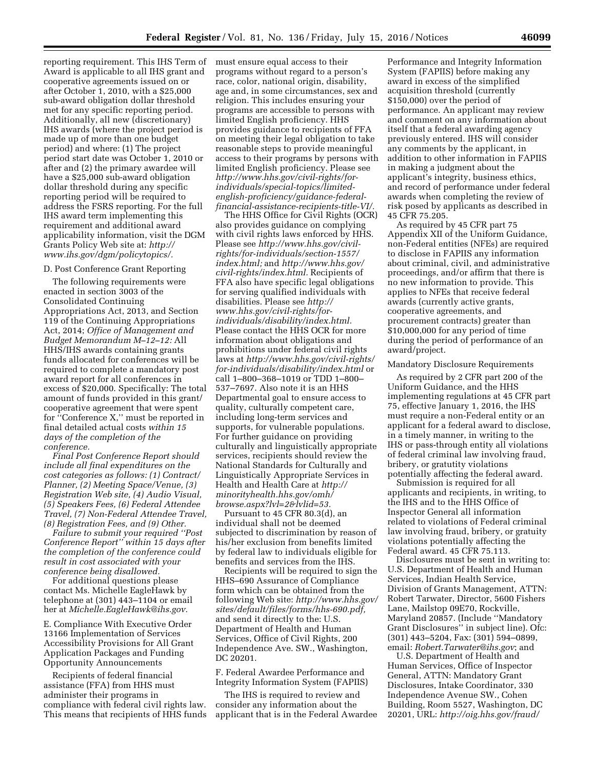reporting requirement. This IHS Term of Award is applicable to all IHS grant and cooperative agreements issued on or after October 1, 2010, with a \$25,000 sub-award obligation dollar threshold met for any specific reporting period. Additionally, all new (discretionary) IHS awards (where the project period is made up of more than one budget period) and where: (1) The project period start date was October 1, 2010 or after and (2) the primary awardee will have a \$25,000 sub-award obligation dollar threshold during any specific reporting period will be required to address the FSRS reporting. For the full IHS award term implementing this requirement and additional award applicability information, visit the DGM Grants Policy Web site at: *[http://](http://www.ihs.gov/dgm/policytopics/) [www.ihs.gov/dgm/policytopics/.](http://www.ihs.gov/dgm/policytopics/)* 

#### D. Post Conference Grant Reporting

The following requirements were enacted in section 3003 of the Consolidated Continuing Appropriations Act, 2013, and Section 119 of the Continuing Appropriations Act, 2014; *Office of Management and Budget Memorandum M–12–12:* All HHS/IHS awards containing grants funds allocated for conferences will be required to complete a mandatory post award report for all conferences in excess of \$20,000. Specifically: The total amount of funds provided in this grant/ cooperative agreement that were spent for ''Conference X,'' must be reported in final detailed actual costs *within 15 days of the completion of the conference.* 

*Final Post Conference Report should include all final expenditures on the cost categories as follows: (1) Contract/ Planner, (2) Meeting Space/Venue, (3) Registration Web site, (4) Audio Visual, (5) Speakers Fees, (6) Federal Attendee Travel, (7) Non-Federal Attendee Travel, (8) Registration Fees, and (9) Other.* 

*Failure to submit your required ''Post Conference Report'' within 15 days after the completion of the conference could result in cost associated with your conference being disallowed.* 

For additional questions please contact Ms. Michelle EagleHawk by telephone at (301) 443–1104 or email her at *[Michelle.EagleHawk@ihs.gov.](mailto:Michelle.EagleHawk@ihs.gov)* 

E. Compliance With Executive Order 13166 Implementation of Services Accessibility Provisions for All Grant Application Packages and Funding Opportunity Announcements

Recipients of federal financial assistance (FFA) from HHS must administer their programs in compliance with federal civil rights law. This means that recipients of HHS funds must ensure equal access to their programs without regard to a person's race, color, national origin, disability, age and, in some circumstances, sex and religion. This includes ensuring your programs are accessible to persons with limited English proficiency. HHS provides guidance to recipients of FFA on meeting their legal obligation to take reasonable steps to provide meaningful access to their programs by persons with limited English proficiency. Please see *[http://www.hhs.gov/civil-rights/for](http://www.hhs.gov/civil-rights/for-individuals/special-topics/limited-english-proficiency/guidance-federal-financial-assistance-recipients-title-VI/)[individuals/special-topics/limited](http://www.hhs.gov/civil-rights/for-individuals/special-topics/limited-english-proficiency/guidance-federal-financial-assistance-recipients-title-VI/)[english-proficiency/guidance-federal](http://www.hhs.gov/civil-rights/for-individuals/special-topics/limited-english-proficiency/guidance-federal-financial-assistance-recipients-title-VI/)[financial-assistance-recipients-title-VI/.](http://www.hhs.gov/civil-rights/for-individuals/special-topics/limited-english-proficiency/guidance-federal-financial-assistance-recipients-title-VI/)* 

The HHS Office for Civil Rights (OCR) also provides guidance on complying with civil rights laws enforced by HHS. Please see *[http://www.hhs.gov/civil](http://www.hhs.gov/civil-rights/for-individuals/section-1557/index.html)[rights/for-individuals/section-1557/](http://www.hhs.gov/civil-rights/for-individuals/section-1557/index.html) [index.html;](http://www.hhs.gov/civil-rights/for-individuals/section-1557/index.html)* and *[http://www.hhs.gov/](http://www.hhs.gov/civil-rights/index.html) [civil-rights/index.html.](http://www.hhs.gov/civil-rights/index.html)* Recipients of FFA also have specific legal obligations for serving qualified individuals with disabilities. Please see *[http://](http://www.hhs.gov/civil-rights/for-individuals/disability/index.html) [www.hhs.gov/civil-rights/for](http://www.hhs.gov/civil-rights/for-individuals/disability/index.html)[individuals/disability/index.html.](http://www.hhs.gov/civil-rights/for-individuals/disability/index.html)*  Please contact the HHS OCR for more information about obligations and prohibitions under federal civil rights laws at *[http://www.hhs.gov/civil-rights/](http://www.hhs.gov/civil-rights/for-individuals/disability/index.html) [for-individuals/disability/index.html](http://www.hhs.gov/civil-rights/for-individuals/disability/index.html)* or call 1–800–368–1019 or TDD 1–800– 537–7697. Also note it is an HHS Departmental goal to ensure access to quality, culturally competent care, including long-term services and supports, for vulnerable populations. For further guidance on providing culturally and linguistically appropriate services, recipients should review the National Standards for Culturally and Linguistically Appropriate Services in Health and Health Care at *[http://](http://minorityhealth.hhs.gov/omh/browse.aspx?lvl=2&lvlid=53) [minorityhealth.hhs.gov/omh/](http://minorityhealth.hhs.gov/omh/browse.aspx?lvl=2&lvlid=53) [browse.aspx?lvl=2&lvlid=53.](http://minorityhealth.hhs.gov/omh/browse.aspx?lvl=2&lvlid=53)* 

Pursuant to 45 CFR 80.3(d), an individual shall not be deemed subjected to discrimination by reason of his/her exclusion from benefits limited by federal law to individuals eligible for benefits and services from the IHS.

Recipients will be required to sign the HHS–690 Assurance of Compliance form which can be obtained from the following Web site: *[http://www.hhs.gov/](http://www.hhs.gov/sites/default/files/forms/hhs-690.pdf) [sites/default/files/forms/hhs-690.pdf,](http://www.hhs.gov/sites/default/files/forms/hhs-690.pdf)*  and send it directly to the: U.S. Department of Health and Human Services, Office of Civil Rights, 200 Independence Ave. SW., Washington, DC 20201.

F. Federal Awardee Performance and Integrity Information System (FAPIIS)

The IHS is required to review and consider any information about the applicant that is in the Federal Awardee

Performance and Integrity Information System (FAPIIS) before making any award in excess of the simplified acquisition threshold (currently \$150,000) over the period of performance. An applicant may review and comment on any information about itself that a federal awarding agency previously entered. IHS will consider any comments by the applicant, in addition to other information in FAPIIS in making a judgment about the applicant's integrity, business ethics, and record of performance under federal awards when completing the review of risk posed by applicants as described in 45 CFR 75.205.

As required by 45 CFR part 75 Appendix XII of the Uniform Guidance, non-Federal entities (NFEs) are required to disclose in FAPIIS any information about criminal, civil, and administrative proceedings, and/or affirm that there is no new information to provide. This applies to NFEs that receive federal awards (currently active grants, cooperative agreements, and procurement contracts) greater than \$10,000,000 for any period of time during the period of performance of an award/project.

### Mandatory Disclosure Requirements

As required by 2 CFR part 200 of the Uniform Guidance, and the HHS implementing regulations at 45 CFR part 75, effective January 1, 2016, the IHS must require a non-Federal entity or an applicant for a federal award to disclose, in a timely manner, in writing to the IHS or pass-through entity all violations of federal criminal law involving fraud, bribery, or gratutity violations potentially affecting the federal award.

Submission is required for all applicants and recipients, in writing, to the IHS and to the HHS Office of Inspector General all information related to violations of Federal criminal law involving fraud, bribery, or gratuity violations potentially affecting the Federal award. 45 CFR 75.113.

Disclosures must be sent in writing to: U.S. Department of Health and Human Services, Indian Health Service, Division of Grants Management, ATTN: Robert Tarwater, Director, 5600 Fishers Lane, Mailstop 09E70, Rockville, Maryland 20857. (Include ''Mandatory Grant Disclosures'' in subject line). Ofc: (301) 443–5204, Fax: (301) 594–0899, email: *[Robert.Tarwater@ihs.gov](mailto:Robert.Tarwater@ihs.gov)*; and

U.S. Department of Health and Human Services, Office of Inspector General, ATTN: Mandatory Grant Disclosures, Intake Coordinator, 330 Independence Avenue SW., Cohen Building, Room 5527, Washington, DC 20201, URL: *[http://oig.hhs.gov/fraud](http://oig.hhs.gov/fraud/reportfraud/index.asp)/*